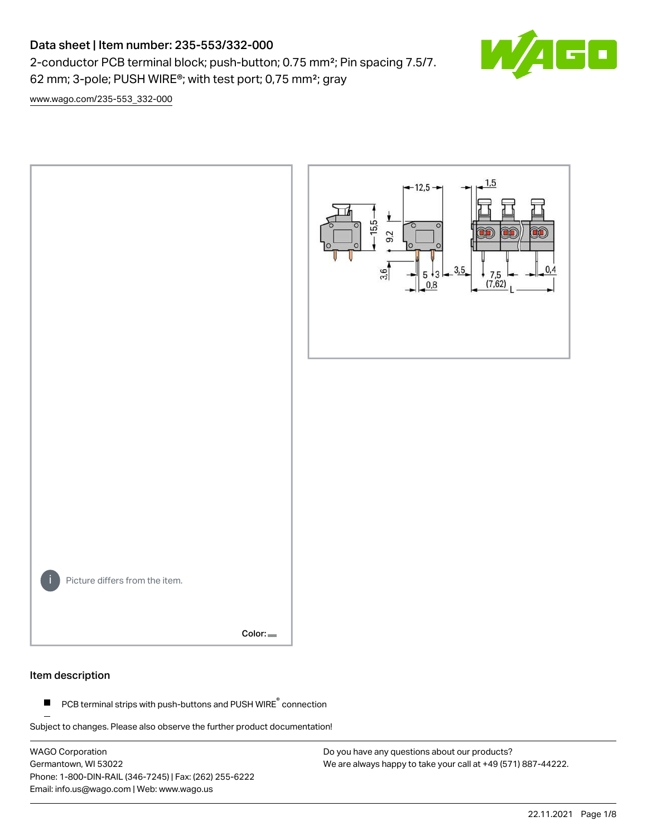# Data sheet | Item number: 235-553/332-000

2-conductor PCB terminal block; push-button; 0.75 mm²; Pin spacing 7.5/7. 62 mm; 3-pole; PUSH WIRE®; with test port; 0,75 mm²; gray



[www.wago.com/235-553\\_332-000](http://www.wago.com/235-553_332-000)



### Item description

PCB terminal strips with push-buttons and PUSH WIRE<sup>®</sup> connection  $\blacksquare$ 

Subject to changes. Please also observe the further product documentation!

WAGO Corporation Germantown, WI 53022 Phone: 1-800-DIN-RAIL (346-7245) | Fax: (262) 255-6222 Email: info.us@wago.com | Web: www.wago.us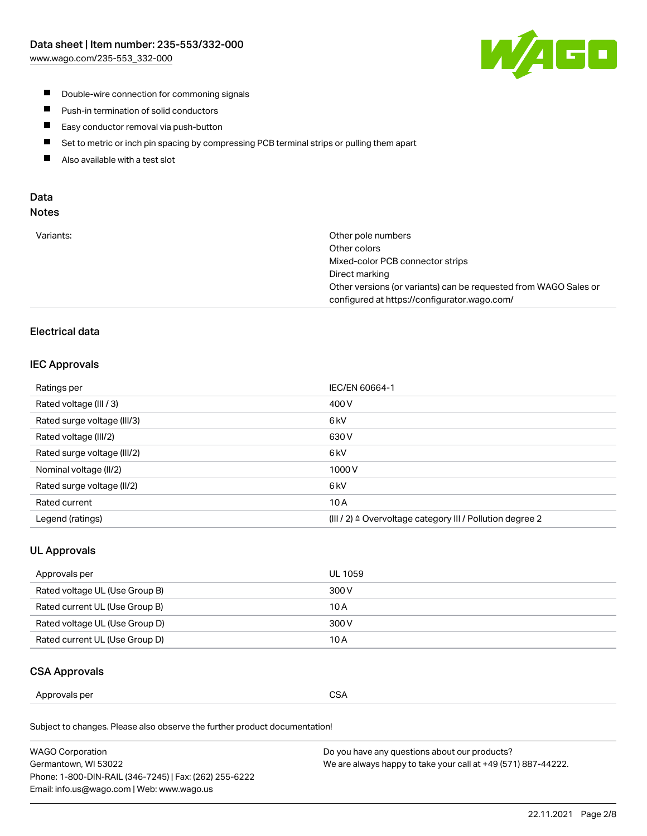

- **Double-wire connection for commoning signals**
- $\blacksquare$ Push-in termination of solid conductors
- Easy conductor removal via push-button  $\blacksquare$
- $\blacksquare$ Set to metric or inch pin spacing by compressing PCB terminal strips or pulling them apart
- $\blacksquare$ Also available with a test slot

### Data Notes

| Variants: | Other pole numbers                                               |
|-----------|------------------------------------------------------------------|
|           | Other colors                                                     |
|           | Mixed-color PCB connector strips                                 |
|           | Direct marking                                                   |
|           | Other versions (or variants) can be requested from WAGO Sales or |
|           | configured at https://configurator.wago.com/                     |

# Electrical data

### IEC Approvals

| Ratings per                 | IEC/EN 60664-1                                                        |
|-----------------------------|-----------------------------------------------------------------------|
| Rated voltage (III / 3)     | 400 V                                                                 |
| Rated surge voltage (III/3) | 6 <sub>kV</sub>                                                       |
| Rated voltage (III/2)       | 630 V                                                                 |
| Rated surge voltage (III/2) | 6 kV                                                                  |
| Nominal voltage (II/2)      | 1000V                                                                 |
| Rated surge voltage (II/2)  | 6 <sub>kV</sub>                                                       |
| Rated current               | 10A                                                                   |
| Legend (ratings)            | $(III / 2)$ $\triangle$ Overvoltage category III / Pollution degree 2 |

# UL Approvals

| Approvals per                  | UL 1059 |
|--------------------------------|---------|
| Rated voltage UL (Use Group B) | 300 V   |
| Rated current UL (Use Group B) | 10 A    |
| Rated voltage UL (Use Group D) | 300 V   |
| Rated current UL (Use Group D) | 10 A    |

### CSA Approvals

| per    |               |
|--------|---------------|
| ovais: | $\sim$ $\sim$ |
| Annr   | SΔ            |
|        | vv.           |
|        | ___           |
|        |               |

Subject to changes. Please also observe the further product documentation!

| WAGO Corporation                                       | Do you have any questions about our products?                 |
|--------------------------------------------------------|---------------------------------------------------------------|
| Germantown, WI 53022                                   | We are always happy to take your call at +49 (571) 887-44222. |
| Phone: 1-800-DIN-RAIL (346-7245)   Fax: (262) 255-6222 |                                                               |
| Email: info.us@wago.com   Web: www.wago.us             |                                                               |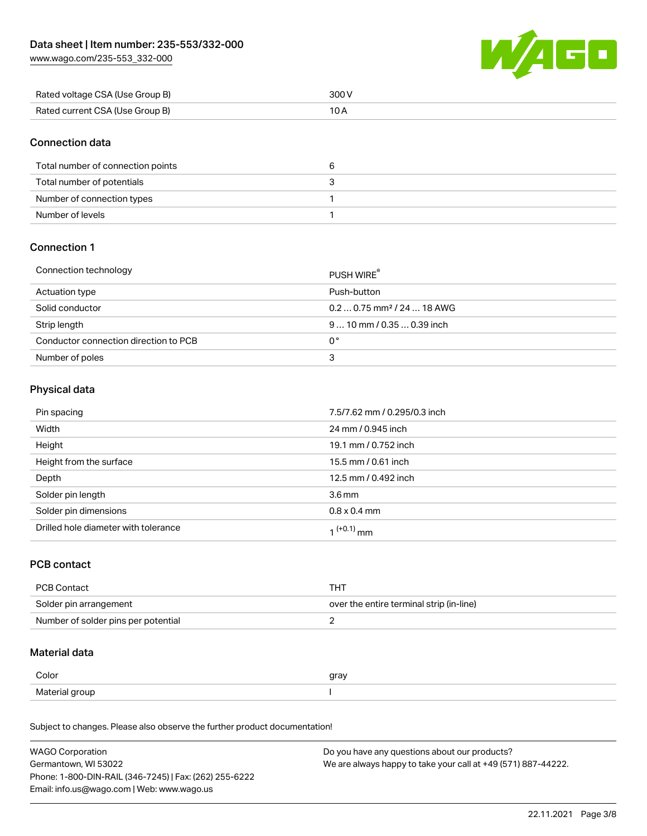[www.wago.com/235-553\\_332-000](http://www.wago.com/235-553_332-000)



| Rated voltage CSA (Use Group B) | 300 V |
|---------------------------------|-------|
| Rated current CSA (Use Group B) |       |

### Connection data

| Total number of connection points |  |
|-----------------------------------|--|
| Total number of potentials        |  |
| Number of connection types        |  |
| Number of levels                  |  |

# Connection 1

#### Connection technology PUSH WIRE®

|                                       | <b>PUSH WIRE</b>                       |
|---------------------------------------|----------------------------------------|
| Actuation type                        | Push-button                            |
| Solid conductor                       | $0.20.75$ mm <sup>2</sup> / 24  18 AWG |
| Strip length                          | $910$ mm / 0.35  0.39 inch             |
| Conductor connection direction to PCB | 0°                                     |
| Number of poles                       | 3                                      |

# Physical data

| Pin spacing                          | 7.5/7.62 mm / 0.295/0.3 inch |
|--------------------------------------|------------------------------|
| Width                                | 24 mm / 0.945 inch           |
| Height                               | 19.1 mm / 0.752 inch         |
| Height from the surface              | 15.5 mm / 0.61 inch          |
| Depth                                | 12.5 mm / 0.492 inch         |
| Solder pin length                    | 3.6 <sub>mm</sub>            |
| Solder pin dimensions                | $0.8 \times 0.4$ mm          |
| Drilled hole diameter with tolerance | 1 <sup>(+0.1)</sup> mm       |

# PCB contact

| PCB Contact                         | тнт                                      |
|-------------------------------------|------------------------------------------|
| Solder pin arrangement              | over the entire terminal strip (in-line) |
| Number of solder pins per potential |                                          |

# Material data

| Color          | gray |
|----------------|------|
| Material group |      |

Subject to changes. Please also observe the further product documentation!

| <b>WAGO Corporation</b>                                | Do you have any questions about our products?                 |
|--------------------------------------------------------|---------------------------------------------------------------|
| Germantown, WI 53022                                   | We are always happy to take your call at +49 (571) 887-44222. |
| Phone: 1-800-DIN-RAIL (346-7245)   Fax: (262) 255-6222 |                                                               |
| Email: info.us@wago.com   Web: www.wago.us             |                                                               |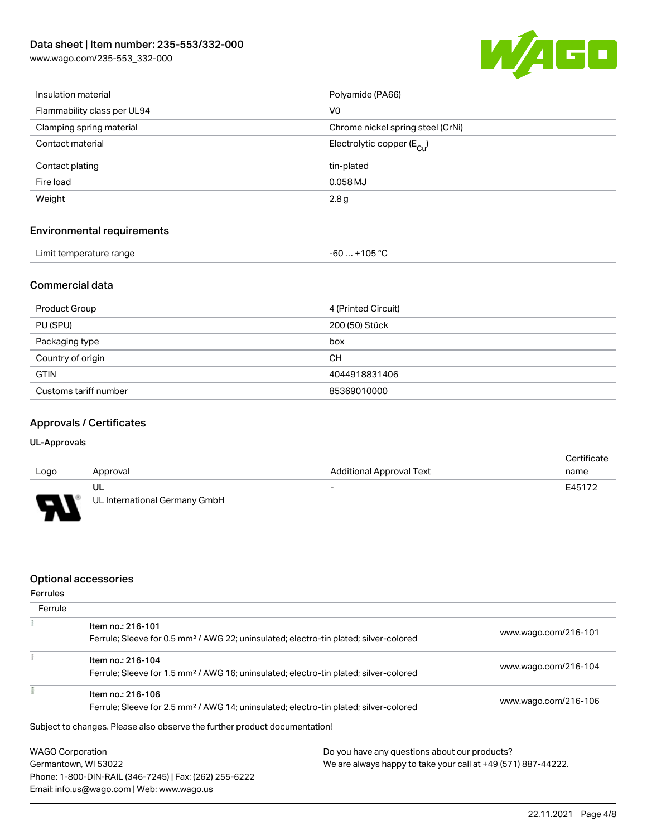[www.wago.com/235-553\\_332-000](http://www.wago.com/235-553_332-000)



| Insulation material               | Polyamide (PA66)                      |  |  |
|-----------------------------------|---------------------------------------|--|--|
| Flammability class per UL94       | V <sub>0</sub>                        |  |  |
| Clamping spring material          | Chrome nickel spring steel (CrNi)     |  |  |
| Contact material                  | Electrolytic copper $(E_{\text{Cl}})$ |  |  |
| Contact plating                   | tin-plated                            |  |  |
| Fire load                         | 0.058 MJ                              |  |  |
| Weight                            | 2.8g                                  |  |  |
| <b>Environmental requirements</b> |                                       |  |  |
| Limit temperature range           | $-60+105 °C$                          |  |  |

### Commercial data

| Product Group         | 4 (Printed Circuit) |
|-----------------------|---------------------|
| PU (SPU)              | 200 (50) Stück      |
| Packaging type        | box                 |
| Country of origin     | CН                  |
| <b>GTIN</b>           | 4044918831406       |
| Customs tariff number | 85369010000         |

# Approvals / Certificates

### UL-Approvals

| Logo     | Approval                            | <b>Additional Approval Text</b> | Certificate<br>name |
|----------|-------------------------------------|---------------------------------|---------------------|
| J<br>. . | UL<br>UL International Germany GmbH | $\overline{\phantom{0}}$        | E45172              |

## Optional accessories

Email: info.us@wago.com | Web: www.wago.us

| <b>Ferrules</b>         |                                                                                                   |                                               |                                                               |  |
|-------------------------|---------------------------------------------------------------------------------------------------|-----------------------------------------------|---------------------------------------------------------------|--|
| Ferrule                 |                                                                                                   |                                               |                                                               |  |
|                         | Item no.: 216-101                                                                                 |                                               | www.wago.com/216-101                                          |  |
|                         | Ferrule; Sleeve for 0.5 mm <sup>2</sup> / AWG 22; uninsulated; electro-tin plated; silver-colored |                                               |                                                               |  |
|                         | Item no.: 216-104                                                                                 |                                               |                                                               |  |
|                         | Ferrule; Sleeve for 1.5 mm <sup>2</sup> / AWG 16; uninsulated; electro-tin plated; silver-colored |                                               | www.wago.com/216-104                                          |  |
|                         | Item no.: 216-106                                                                                 |                                               |                                                               |  |
|                         | Ferrule; Sleeve for 2.5 mm <sup>2</sup> / AWG 14; uninsulated; electro-tin plated; silver-colored | www.wago.com/216-106                          |                                                               |  |
|                         | Subject to changes. Please also observe the further product documentation!                        |                                               |                                                               |  |
| <b>WAGO Corporation</b> |                                                                                                   | Do you have any questions about our products? |                                                               |  |
| Germantown, WI 53022    |                                                                                                   |                                               | We are always happy to take your call at +49 (571) 887-44222. |  |
|                         | Phone: 1-800-DIN-RAIL (346-7245)   Fax: (262) 255-6222                                            |                                               |                                                               |  |

22.11.2021 Page 4/8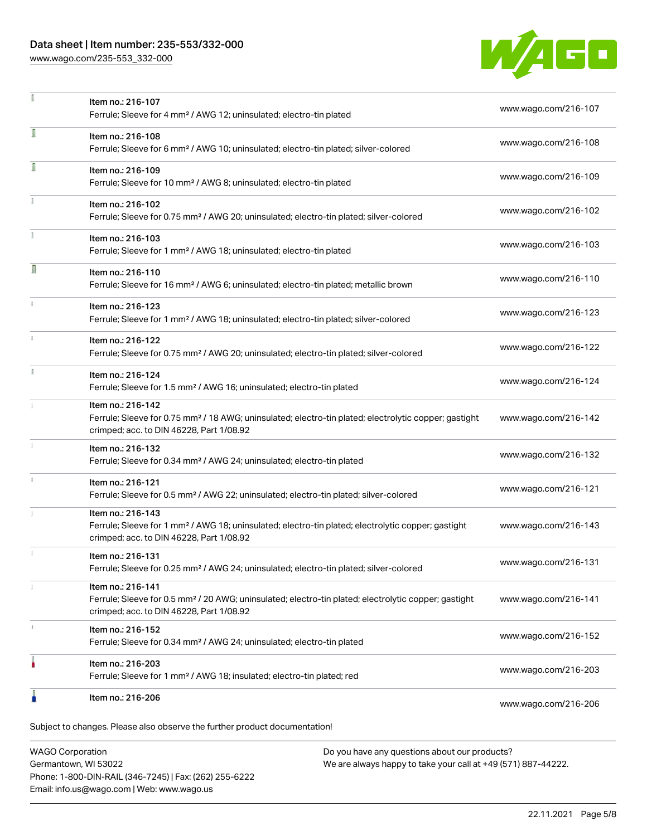# Data sheet | Item number: 235-553/332-000

[www.wago.com/235-553\\_332-000](http://www.wago.com/235-553_332-000)



|   | Item no.: 216-107<br>Ferrule; Sleeve for 4 mm <sup>2</sup> / AWG 12; uninsulated; electro-tin plated                                                                               | www.wago.com/216-107 |
|---|------------------------------------------------------------------------------------------------------------------------------------------------------------------------------------|----------------------|
| ī | Item no.: 216-108<br>Ferrule; Sleeve for 6 mm <sup>2</sup> / AWG 10; uninsulated; electro-tin plated; silver-colored                                                               | www.wago.com/216-108 |
| Ī | Item no.: 216-109<br>Ferrule; Sleeve for 10 mm <sup>2</sup> / AWG 8; uninsulated; electro-tin plated                                                                               | www.wago.com/216-109 |
|   | Item no.: 216-102<br>Ferrule; Sleeve for 0.75 mm <sup>2</sup> / AWG 20; uninsulated; electro-tin plated; silver-colored                                                            | www.wago.com/216-102 |
|   | Item no.: 216-103<br>Ferrule; Sleeve for 1 mm <sup>2</sup> / AWG 18; uninsulated; electro-tin plated                                                                               | www.wago.com/216-103 |
| Л | Item no.: 216-110<br>Ferrule; Sleeve for 16 mm <sup>2</sup> / AWG 6; uninsulated; electro-tin plated; metallic brown                                                               | www.wago.com/216-110 |
|   | Item no.: 216-123<br>Ferrule; Sleeve for 1 mm <sup>2</sup> / AWG 18; uninsulated; electro-tin plated; silver-colored                                                               | www.wago.com/216-123 |
|   | Item no.: 216-122<br>Ferrule; Sleeve for 0.75 mm <sup>2</sup> / AWG 20; uninsulated; electro-tin plated; silver-colored                                                            | www.wago.com/216-122 |
|   | Item no.: 216-124<br>Ferrule; Sleeve for 1.5 mm <sup>2</sup> / AWG 16; uninsulated; electro-tin plated                                                                             | www.wago.com/216-124 |
|   | Item no.: 216-142<br>Ferrule; Sleeve for 0.75 mm <sup>2</sup> / 18 AWG; uninsulated; electro-tin plated; electrolytic copper; gastight<br>crimped; acc. to DIN 46228, Part 1/08.92 | www.wago.com/216-142 |
|   | Item no.: 216-132<br>Ferrule; Sleeve for 0.34 mm <sup>2</sup> / AWG 24; uninsulated; electro-tin plated                                                                            | www.wago.com/216-132 |
|   | Item no.: 216-121<br>Ferrule; Sleeve for 0.5 mm <sup>2</sup> / AWG 22; uninsulated; electro-tin plated; silver-colored                                                             | www.wago.com/216-121 |
|   | Item no.: 216-143<br>Ferrule; Sleeve for 1 mm <sup>2</sup> / AWG 18; uninsulated; electro-tin plated; electrolytic copper; gastight<br>crimped; acc. to DIN 46228, Part 1/08.92    | www.wago.com/216-143 |
|   | Item no.: 216-131<br>Ferrule; Sleeve for 0.25 mm <sup>2</sup> / AWG 24; uninsulated; electro-tin plated; silver-colored                                                            | www.wago.com/216-131 |
|   | Item no.: 216-141<br>Ferrule; Sleeve for 0.5 mm <sup>2</sup> / 20 AWG; uninsulated; electro-tin plated; electrolytic copper; gastight<br>crimped; acc. to DIN 46228, Part 1/08.92  | www.wago.com/216-141 |
|   | Item no.: 216-152<br>Ferrule; Sleeve for 0.34 mm <sup>2</sup> / AWG 24; uninsulated; electro-tin plated                                                                            | www.wago.com/216-152 |
|   | Item no.: 216-203<br>Ferrule; Sleeve for 1 mm <sup>2</sup> / AWG 18; insulated; electro-tin plated; red                                                                            | www.wago.com/216-203 |
|   | Item no.: 216-206                                                                                                                                                                  | www.wago.com/216-206 |

WAGO Corporation Germantown, WI 53022 Phone: 1-800-DIN-RAIL (346-7245) | Fax: (262) 255-6222 Email: info.us@wago.com | Web: www.wago.us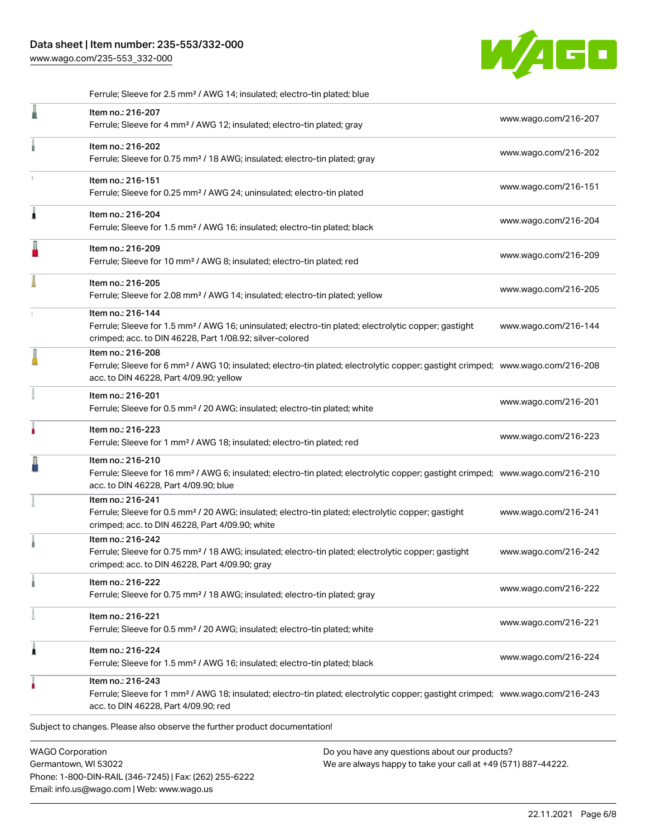[www.wago.com/235-553\\_332-000](http://www.wago.com/235-553_332-000)



|                         | Ferrule; Sleeve for 2.5 mm <sup>2</sup> / AWG 14; insulated; electro-tin plated; blue                                                                                                                      |                      |
|-------------------------|------------------------------------------------------------------------------------------------------------------------------------------------------------------------------------------------------------|----------------------|
|                         | Item no.: 216-207<br>Ferrule; Sleeve for 4 mm <sup>2</sup> / AWG 12; insulated; electro-tin plated; gray                                                                                                   | www.wago.com/216-207 |
|                         | Item no.: 216-202<br>Ferrule; Sleeve for 0.75 mm <sup>2</sup> / 18 AWG; insulated; electro-tin plated; gray                                                                                                | www.wago.com/216-202 |
|                         | Item no.: 216-151<br>Ferrule; Sleeve for 0.25 mm <sup>2</sup> / AWG 24; uninsulated; electro-tin plated                                                                                                    | www.wago.com/216-151 |
| 1                       | Item no.: 216-204<br>Ferrule; Sleeve for 1.5 mm <sup>2</sup> / AWG 16; insulated; electro-tin plated; black                                                                                                | www.wago.com/216-204 |
|                         | Item no.: 216-209<br>Ferrule; Sleeve for 10 mm <sup>2</sup> / AWG 8; insulated; electro-tin plated; red                                                                                                    | www.wago.com/216-209 |
|                         | Item no.: 216-205<br>Ferrule; Sleeve for 2.08 mm <sup>2</sup> / AWG 14; insulated; electro-tin plated; yellow                                                                                              | www.wago.com/216-205 |
|                         | Item no.: 216-144<br>Ferrule; Sleeve for 1.5 mm <sup>2</sup> / AWG 16; uninsulated; electro-tin plated; electrolytic copper; gastight<br>crimped; acc. to DIN 46228, Part 1/08.92; silver-colored          | www.wago.com/216-144 |
|                         | Item no.: 216-208<br>Ferrule; Sleeve for 6 mm <sup>2</sup> / AWG 10; insulated; electro-tin plated; electrolytic copper; gastight crimped; www.wago.com/216-208<br>acc. to DIN 46228, Part 4/09.90; yellow |                      |
|                         | Item no.: 216-201<br>Ferrule; Sleeve for 0.5 mm <sup>2</sup> / 20 AWG; insulated; electro-tin plated; white                                                                                                | www.wago.com/216-201 |
|                         | Item no.: 216-223<br>Ferrule; Sleeve for 1 mm <sup>2</sup> / AWG 18; insulated; electro-tin plated; red                                                                                                    | www.wago.com/216-223 |
|                         | Item no.: 216-210<br>Ferrule; Sleeve for 16 mm <sup>2</sup> / AWG 6; insulated; electro-tin plated; electrolytic copper; gastight crimped; www.wago.com/216-210<br>acc. to DIN 46228, Part 4/09.90; blue   |                      |
|                         | Item no.: 216-241<br>Ferrule; Sleeve for 0.5 mm <sup>2</sup> / 20 AWG; insulated; electro-tin plated; electrolytic copper; gastight<br>crimped; acc. to DIN 46228, Part 4/09.90; white                     | www.wago.com/216-241 |
|                         | Item no.: 216-242<br>Ferrule; Sleeve for 0.75 mm <sup>2</sup> / 18 AWG; insulated; electro-tin plated; electrolytic copper; gastight<br>crimped; acc. to DIN 46228, Part 4/09.90; gray                     | www.wago.com/216-242 |
|                         | Item no.: 216-222<br>Ferrule; Sleeve for 0.75 mm <sup>2</sup> / 18 AWG; insulated; electro-tin plated; gray                                                                                                | www.wago.com/216-222 |
|                         | Item no.: 216-221<br>Ferrule; Sleeve for 0.5 mm <sup>2</sup> / 20 AWG; insulated; electro-tin plated; white                                                                                                | www.wago.com/216-221 |
| 1                       | Item no.: 216-224<br>Ferrule; Sleeve for 1.5 mm <sup>2</sup> / AWG 16; insulated; electro-tin plated; black                                                                                                | www.wago.com/216-224 |
|                         | Item no.: 216-243<br>Ferrule; Sleeve for 1 mm <sup>2</sup> / AWG 18; insulated; electro-tin plated; electrolytic copper; gastight crimped; www.wago.com/216-243<br>acc. to DIN 46228, Part 4/09.90; red    |                      |
|                         | Subject to changes. Please also observe the further product documentation!                                                                                                                                 |                      |
| <b>WAGO Corporation</b> | Do you have any questions about our products?                                                                                                                                                              |                      |

Germantown, WI 53022 Phone: 1-800-DIN-RAIL (346-7245) | Fax: (262) 255-6222 Email: info.us@wago.com | Web: www.wago.us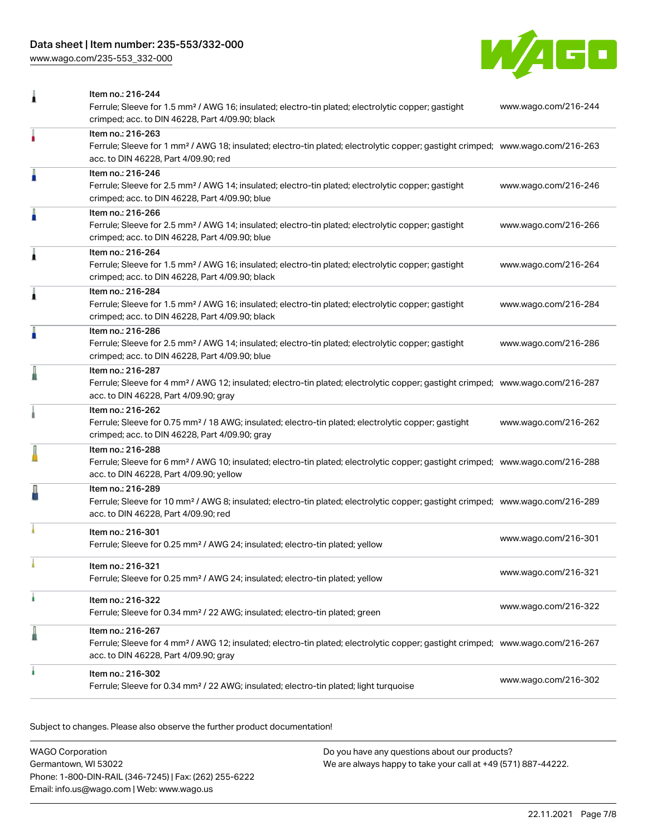# Data sheet | Item number: 235-553/332-000

[www.wago.com/235-553\\_332-000](http://www.wago.com/235-553_332-000)



| 1 | Item no.: 216-244<br>Ferrule; Sleeve for 1.5 mm <sup>2</sup> / AWG 16; insulated; electro-tin plated; electrolytic copper; gastight<br>crimped; acc. to DIN 46228, Part 4/09.90; black                     | www.wago.com/216-244 |
|---|------------------------------------------------------------------------------------------------------------------------------------------------------------------------------------------------------------|----------------------|
|   | Item no.: 216-263<br>Ferrule; Sleeve for 1 mm <sup>2</sup> / AWG 18; insulated; electro-tin plated; electrolytic copper; gastight crimped; www.wago.com/216-263<br>acc. to DIN 46228, Part 4/09.90; red    |                      |
| I | Item no.: 216-246<br>Ferrule; Sleeve for 2.5 mm <sup>2</sup> / AWG 14; insulated; electro-tin plated; electrolytic copper; gastight<br>crimped; acc. to DIN 46228, Part 4/09.90; blue                      | www.wago.com/216-246 |
| I | Item no.: 216-266<br>Ferrule; Sleeve for 2.5 mm <sup>2</sup> / AWG 14; insulated; electro-tin plated; electrolytic copper; gastight<br>crimped; acc. to DIN 46228, Part 4/09.90; blue                      | www.wago.com/216-266 |
| Â | Item no.: 216-264<br>Ferrule; Sleeve for 1.5 mm <sup>2</sup> / AWG 16; insulated; electro-tin plated; electrolytic copper; gastight<br>crimped; acc. to DIN 46228, Part 4/09.90; black                     | www.wago.com/216-264 |
| Â | Item no.: 216-284<br>Ferrule; Sleeve for 1.5 mm <sup>2</sup> / AWG 16; insulated; electro-tin plated; electrolytic copper; gastight<br>crimped; acc. to DIN 46228, Part 4/09.90; black                     | www.wago.com/216-284 |
| A | Item no.: 216-286<br>Ferrule; Sleeve for 2.5 mm <sup>2</sup> / AWG 14; insulated; electro-tin plated; electrolytic copper; gastight<br>crimped; acc. to DIN 46228, Part 4/09.90; blue                      | www.wago.com/216-286 |
| ä | Item no.: 216-287<br>Ferrule; Sleeve for 4 mm <sup>2</sup> / AWG 12; insulated; electro-tin plated; electrolytic copper; gastight crimped; www.wago.com/216-287<br>acc. to DIN 46228, Part 4/09.90; gray   |                      |
|   | Item no.: 216-262<br>Ferrule; Sleeve for 0.75 mm <sup>2</sup> / 18 AWG; insulated; electro-tin plated; electrolytic copper; gastight<br>crimped; acc. to DIN 46228, Part 4/09.90; gray                     | www.wago.com/216-262 |
|   | Item no.: 216-288<br>Ferrule; Sleeve for 6 mm <sup>2</sup> / AWG 10; insulated; electro-tin plated; electrolytic copper; gastight crimped; www.wago.com/216-288<br>acc. to DIN 46228, Part 4/09.90; yellow |                      |
|   | Item no.: 216-289<br>Ferrule; Sleeve for 10 mm <sup>2</sup> / AWG 8; insulated; electro-tin plated; electrolytic copper; gastight crimped; www.wago.com/216-289<br>acc. to DIN 46228, Part 4/09.90; red    |                      |
|   | Item no.: 216-301<br>Ferrule; Sleeve for 0.25 mm <sup>2</sup> / AWG 24; insulated; electro-tin plated; yellow                                                                                              | www.wago.com/216-301 |
|   | Item no.: 216-321<br>Ferrule; Sleeve for 0.25 mm <sup>2</sup> / AWG 24; insulated; electro-tin plated; yellow                                                                                              | www.wago.com/216-321 |
| ۸ | Item no.: 216-322<br>Ferrule; Sleeve for 0.34 mm <sup>2</sup> / 22 AWG; insulated; electro-tin plated; green                                                                                               | www.wago.com/216-322 |
| ä | Item no.: 216-267<br>Ferrule; Sleeve for 4 mm <sup>2</sup> / AWG 12; insulated; electro-tin plated; electrolytic copper; gastight crimped; www.wago.com/216-267<br>acc. to DIN 46228, Part 4/09.90; gray   |                      |
|   | Item no.: 216-302<br>Ferrule; Sleeve for 0.34 mm <sup>2</sup> / 22 AWG; insulated; electro-tin plated; light turquoise                                                                                     | www.wago.com/216-302 |

Subject to changes. Please also observe the further product documentation!

| WAGO Corporation                                       | Do you have any questions about our products?                 |
|--------------------------------------------------------|---------------------------------------------------------------|
| Germantown, WI 53022                                   | We are always happy to take your call at +49 (571) 887-44222. |
| Phone: 1-800-DIN-RAIL (346-7245)   Fax: (262) 255-6222 |                                                               |
| Email: info.us@wago.com   Web: www.wago.us             |                                                               |